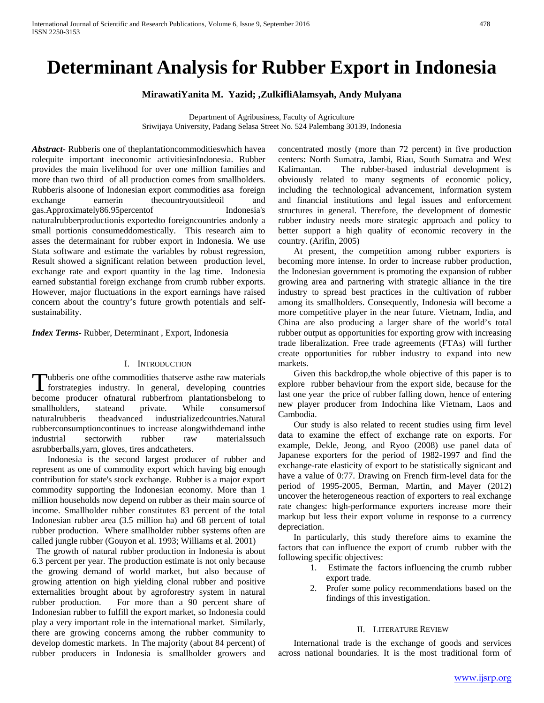# **Determinant Analysis for Rubber Export in Indonesia**

**MirawatiYanita M. Yazid; ,ZulkifliAlamsyah, Andy Mulyana**

Department of Agribusiness, Faculty of Agriculture Sriwijaya University, Padang Selasa Street No. 524 Palembang 30139, Indonesia

*Abstract***-** Rubberis one of theplantationcommoditieswhich havea rolequite important ineconomic activitiesinIndonesia. Rubber provides the main livelihood for over one million families and more than two third of all production comes from smallholders. Rubberis alsoone of Indonesian export commodities asa foreign exchange earnerin the countryoutsideoil and gas.Approximately86.95percentof Indonesia's naturalrubberproductionis exportedto foreigncountries andonly a small portionis consumeddomestically. This research aim to asses the determainant for rubber export in Indonesia. We use Stata software and estimate the variables by robust regression, Result showed a significant relation between production level, exchange rate and export quantity in the lag time. Indonesia earned substantial foreign exchange from crumb rubber exports. However, major fluctuations in the export earnings have raised concern about the country's future growth potentials and selfsustainability.

*Index Terms*- Rubber, Determinant , Export, Indonesia

# I. INTRODUCTION

ubberis one ofthe commodities thatserve asthe raw materials Tubberis one of the commodities that serve as the raw materials for strategies industry. In general, developing countries become producer ofnatural rubberfrom plantationsbelong to smallholders, stateand private. While consumersof naturalrubberis theadvanced industrializedcountries.Natural rubberconsumptioncontinues to increase alongwithdemand inthe industrial sectorwith rubber raw materialssuch asrubberballs,yarn, gloves, tires andcatheters.

 Indonesia is the second largest producer of rubber and represent as one of commodity export which having big enough contribution for state's stock exchange. Rubber is a major export commodity supporting the Indonesian economy. More than 1 million households now depend on rubber as their main source of income. Smallholder rubber constitutes 83 percent of the total Indonesian rubber area (3.5 million ha) and 68 percent of total rubber production. Where smallholder rubber systems often are called jungle rubber (Gouyon et al. 1993; Williams et al. 2001)

 The growth of natural rubber production in Indonesia is about 6.3 percent per year. The production estimate is not only because the growing demand of world market, but also because of growing attention on high yielding clonal rubber and positive externalities brought about by agroforestry system in natural rubber production. For more than a 90 percent share of Indonesian rubber to fulfill the export market, so Indonesia could play a very important role in the international market. Similarly, there are growing concerns among the rubber community to develop domestic markets. In The majority (about 84 percent) of rubber producers in Indonesia is smallholder growers and

concentrated mostly (more than 72 percent) in five production centers: North Sumatra, Jambi, Riau, South Sumatra and West Kalimantan. The rubber-based industrial development is obviously related to many segments of economic policy, including the technological advancement, information system and financial institutions and legal issues and enforcement structures in general. Therefore, the development of domestic rubber industry needs more strategic approach and policy to better support a high quality of economic recovery in the country. (Arifin, 2005)

 At present, the competition among rubber exporters is becoming more intense. In order to increase rubber production, the Indonesian government is promoting the expansion of rubber growing area and partnering with strategic alliance in the tire industry to spread best practices in the cultivation of rubber among its smallholders. Consequently, Indonesia will become a more competitive player in the near future. Vietnam, India, and China are also producing a larger share of the world's total rubber output as opportunities for exporting grow with increasing trade liberalization. Free trade agreements (FTAs) will further create opportunities for rubber industry to expand into new markets.

 Given this backdrop,the whole objective of this paper is to explore rubber behaviour from the export side, because for the last one year the price of rubber falling down, hence of entering new player producer from Indochina like Vietnam, Laos and Cambodia.

 Our study is also related to recent studies using firm level data to examine the effect of exchange rate on exports. For example, Dekle, Jeong, and Ryoo (2008) use panel data of Japanese exporters for the period of 1982-1997 and find the exchange-rate elasticity of export to be statistically signicant and have a value of 0:77. Drawing on French firm-level data for the period of 1995-2005, Berman, Martin, and Mayer (2012) uncover the heterogeneous reaction of exporters to real exchange rate changes: high-performance exporters increase more their markup but less their export volume in response to a currency depreciation.

 In particularly, this study therefore aims to examine the factors that can influence the export of crumb rubber with the following specific objectives:

- 1. Estimate the factors influencing the crumb rubber export trade.
- 2. Profer some policy recommendations based on the findings of this investigation.

# II. LITERATURE REVIEW

 International trade is the exchange of goods and services across national boundaries. It is the most traditional form of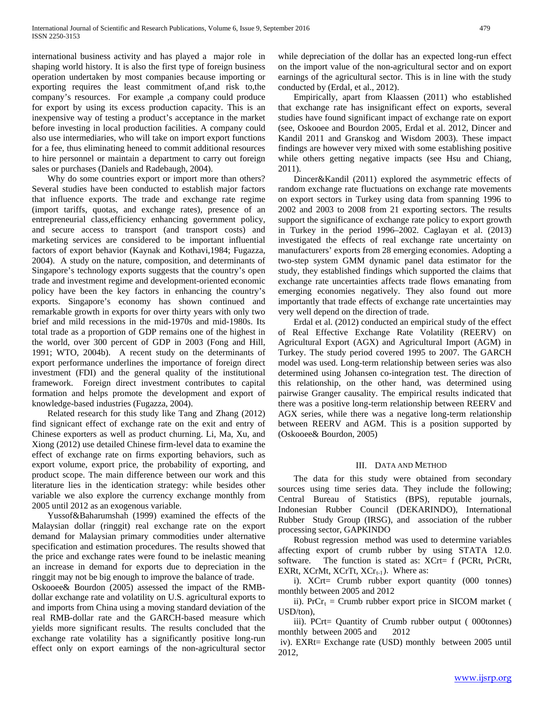international business activity and has played a major role in shaping world history. It is also the first type of foreign business operation undertaken by most companies because importing or exporting requires the least commitment of,and risk to,the company's resources. For example ,a company could produce for export by using its excess production capacity. This is an inexpensive way of testing a product's acceptance in the market before investing in local production facilities. A company could also use intermediaries, who will take on import export functions for a fee, thus eliminating heneed to commit additional resources to hire personnel or maintain a department to carry out foreign sales or purchases (Daniels and Radebaugh, 2004).

 Why do some countries export or import more than others? Several studies have been conducted to establish major factors that influence exports. The trade and exchange rate regime (import tariffs, quotas, and exchange rates), presence of an entrepreneurial class,efficiency enhancing government policy, and secure access to transport (and transport costs) and marketing services are considered to be important influential factors of export behavior (Kaynak and Kothavi,1984; Fugazza, 2004). A study on the nature, composition, and determinants of Singapore's technology exports suggests that the country's open trade and investment regime and development-oriented economic policy have been the key factors in enhancing the country's exports. Singapore's economy has shown continued and remarkable growth in exports for over thirty years with only two brief and mild recessions in the mid-1970s and mid-1980s. Its total trade as a proportion of GDP remains one of the highest in the world, over 300 percent of GDP in 2003 (Fong and Hill, 1991; WTO, 2004b). A recent study on the determinants of export performance underlines the importance of foreign direct investment (FDI) and the general quality of the institutional framework. Foreign direct investment contributes to capital formation and helps promote the development and export of knowledge-based industries (Fugazza, 2004).

 Related research for this study like Tang and Zhang (2012) find signicant effect of exchange rate on the exit and entry of Chinese exporters as well as product churning. Li, Ma, Xu, and Xiong (2012) use detailed Chinese firm-level data to examine the effect of exchange rate on firms exporting behaviors, such as export volume, export price, the probability of exporting, and product scope. The main difference between our work and this literature lies in the identication strategy: while besides other variable we also explore the currency exchange monthly from 2005 until 2012 as an exogenous variable.

 Yussof&Baharumshah (1999) examined the effects of the Malaysian dollar (ringgit) real exchange rate on the export demand for Malaysian primary commodities under alternative specification and estimation procedures. The results showed that the price and exchange rates were found to be inelastic meaning an increase in demand for exports due to depreciation in the ringgit may not be big enough to improve the balance of trade.

Oskooee& Bourdon (2005) assessed the impact of the RMBdollar exchange rate and volatility on U.S. agricultural exports to and imports from China using a moving standard deviation of the real RMB-dollar rate and the GARCH-based measure which yields more significant results. The results concluded that the exchange rate volatility has a significantly positive long-run effect only on export earnings of the non-agricultural sector

while depreciation of the dollar has an expected long-run effect on the import value of the non-agricultural sector and on export earnings of the agricultural sector. This is in line with the study conducted by (Erdal, et al., 2012).

 Empirically, apart from Klaassen (2011) who established that exchange rate has insignificant effect on exports, several studies have found significant impact of exchange rate on export (see, Oskooee and Bourdon 2005, Erdal et al. 2012, Dincer and Kandil 2011 and Granskog and Wisdom 2003). These impact findings are however very mixed with some establishing positive while others getting negative impacts (see Hsu and Chiang, 2011).

 Dincer&Kandil (2011) explored the asymmetric effects of random exchange rate fluctuations on exchange rate movements on export sectors in Turkey using data from spanning 1996 to 2002 and 2003 to 2008 from 21 exporting sectors. The results support the significance of exchange rate policy to export growth in Turkey in the period 1996–2002. Caglayan et al. (2013) investigated the effects of real exchange rate uncertainty on manufacturers' exports from 28 emerging economies. Adopting a two-step system GMM dynamic panel data estimator for the study, they established findings which supported the claims that exchange rate uncertainties affects trade flows emanating from emerging economies negatively. They also found out more importantly that trade effects of exchange rate uncertainties may very well depend on the direction of trade.

 Erdal et al. (2012) conducted an empirical study of the effect of Real Effective Exchange Rate Volatility (REERV) on Agricultural Export (AGX) and Agricultural Import (AGM) in Turkey. The study period covered 1995 to 2007. The GARCH model was used. Long-term relationship between series was also determined using Johansen co-integration test. The direction of this relationship, on the other hand, was determined using pairwise Granger causality. The empirical results indicated that there was a positive long-term relationship between REERV and AGX series, while there was a negative long-term relationship between REERV and AGM. This is a position supported by (Oskooee& Bourdon, 2005)

# III. DATA AND METHOD

 The data for this study were obtained from secondary sources using time series data. They include the following; Central Bureau of Statistics (BPS), reputable journals, Indonesian Rubber Council (DEKARINDO), International Rubber Study Group (IRSG), and association of the rubber processing sector, GAPKINDO

 Robust regression method was used to determine variables affecting export of crumb rubber by using STATA 12.0. software. The function is stated as: XCrt= f (PCRt, PrCRt, EXRt, XCrMt, XCrTt,  $XCr_{t-1}$ ). Where as:

 i). XCrt= Crumb rubber export quantity (000 tonnes) monthly between 2005 and 2012

ii). PrCr<sub>t</sub> = Crumb rubber export price in SICOM market ( USD/ton),

 iii). PCrt= Quantity of Crumb rubber output ( 000tonnes) monthly between 2005 and 2012

iv). EXRt= Exchange rate (USD) monthly between 2005 until 2012,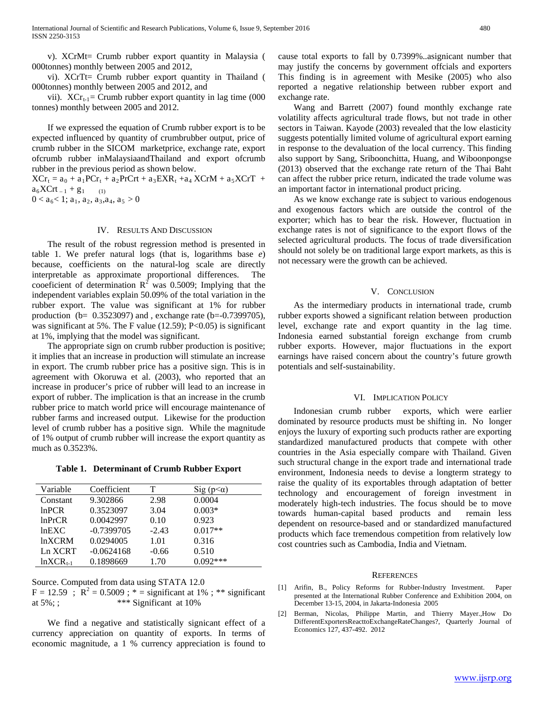v). XCrMt= Crumb rubber export quantity in Malaysia ( 000tonnes) monthly between 2005 and 2012,

 vi). XCrTt= Crumb rubber export quantity in Thailand ( 000tonnes) monthly between 2005 and 2012, and

vii).  $XCr_{t-1}=$  Crumb rubber export quantity in lag time (000 tonnes) monthly between 2005 and 2012.

 If we expressed the equation of Crumb rubber export is to be expected influenced by quantity of crumbrubber output, price of crumb rubber in the SICOM marketprice, exchange rate, export ofcrumb rubber inMalaysiaandThailand and export ofcrumb rubber in the previous period as shown below.

 $XCr_t = a_0 + a_1PCr_t + a_2PrCrt + a_3EXR_t + a_4 XCrM + a_5XCrT +$  $a_6XCrt_{-1} + g_1$  (1)  $0 < a_6 < 1$ ;  $a_1, a_2, a_3, a_4, a_5 > 0$ 

## IV. RESULTS AND DISCUSSION

 The result of the robust regression method is presented in table 1. We prefer natural logs (that is, logarithms base *e*) because, coefficients on the natural-log scale are directly interpretable as approximate proportional differences. The cooeficient of determination  $R^2$  was 0.5009; Implying that the independent variables explain 50.09% of the total variation in the rubber export. The value was significant at 1% for rubber production (b= 0.3523097) and , exchange rate (b=-0.7399705), was significant at 5%. The F value (12.59); P<0.05) is significant at 1%, implying that the model was significant.

 The appropriate sign on crumb rubber production is positive; it implies that an increase in production will stimulate an increase in export. The crumb rubber price has a positive sign. This is in agreement with Okoruwa et al. (2003), who reported that an increase in producer's price of rubber will lead to an increase in export of rubber. The implication is that an increase in the crumb rubber price to match world price will encourage maintenance of rubber farms and increased output. Likewise for the production level of crumb rubber has a positive sign. While the magnitude of 1% output of crumb rubber will increase the export quantity as much as 0.3523%.

**Table 1. Determinant of Crumb Rubber Export**

| Variable      | Coefficient  | т       | ι<α)<br>$\mathrm{S1g}$ |
|---------------|--------------|---------|------------------------|
| Constant      | 9.302866     | 2.98    | 0.0004                 |
| lnPCR         | 0.3523097    | 3.04    | $0.003*$               |
| lnPrCR        | 0.0042997    | 0.10    | 0.923                  |
| lnEXC         | $-0.7399705$ | $-2.43$ | $0.017**$              |
| lnXCRM        | 0.0294005    | 1.01    | 0.316                  |
| Ln XCRT       | $-0.0624168$ | $-0.66$ | 0.510                  |
| $lnXCR_{t-1}$ | 0.1898669    | 1.70    | $0.092***$             |

Source. Computed from data using STATA 12.0

 $F = 12.59$ ;  $R^2 = 0.5009$ ; \* = significant at 1%; \*\* significant at  $5\%;$ ; \*\*\* Significant at  $10\%$ 

 We find a negative and statistically signicant effect of a currency appreciation on quantity of exports. In terms of economic magnitude, a 1 % currency appreciation is found to

cause total exports to fall by 0.7399%..asignicant number that may justify the concerns by government offcials and exporters This finding is in agreement with Mesike (2005) who also reported a negative relationship between rubber export and exchange rate.

 Wang and Barrett (2007) found monthly exchange rate volatility affects agricultural trade flows, but not trade in other sectors in Taiwan. Kayode (2003) revealed that the low elasticity suggests potentially limited volume of agricultural export earning in response to the devaluation of the local currency. This finding also support by Sang, Sriboonchitta, Huang, and Wiboonpongse (2013) observed that the exchange rate return of the Thai Baht can affect the rubber price return, indicated the trade volume was an important factor in international product pricing.

 As we know exchange rate is subject to various endogenous and exogenous factors which are outside the control of the exporter; which has to bear the risk. However, fluctuation in exchange rates is not of significance to the export flows of the selected agricultural products. The focus of trade diversification should not solely be on traditional large export markets, as this is not necessary were the growth can be achieved.

## V. CONCLUSION

 As the intermediary products in international trade, crumb rubber exports showed a significant relation between production level, exchange rate and export quantity in the lag time. Indonesia earned substantial foreign exchange from crumb rubber exports. However, major fluctuations in the export earnings have raised concern about the country's future growth potentials and self-sustainability.

#### VI. IMPLICATION POLICY

 Indonesian crumb rubber exports, which were earlier dominated by resource products must be shifting in. No longer enjoys the luxury of exporting such products rather are exporting standardized manufactured products that compete with other countries in the Asia especially compare with Thailand. Given such structural change in the export trade and international trade environment, Indonesia needs to devise a longterm strategy to raise the quality of its exportables through adaptation of better technology and encouragement of foreign investment in moderately high-tech industries. The focus should be to move towards human-capital based products and remain less dependent on resource-based and or standardized manufactured products which face tremendous competition from relatively low cost countries such as Cambodia, India and Vietnam.

# **REFERENCES**

- [1] Arifin, B., Policy Reforms for Rubber-Industry Investment. Paper presented at the International Rubber Conference and Exhibition 2004, on December 13-15, 2004, in Jakarta-Indonesia 2005
- [2] Berman, Nicolas, Philippe Martin, and Thierry Mayer.,How Do DifferentExportersReacttoExchangeRateChanges?, Quarterly Journal of Economics 127, 437-492. 2012